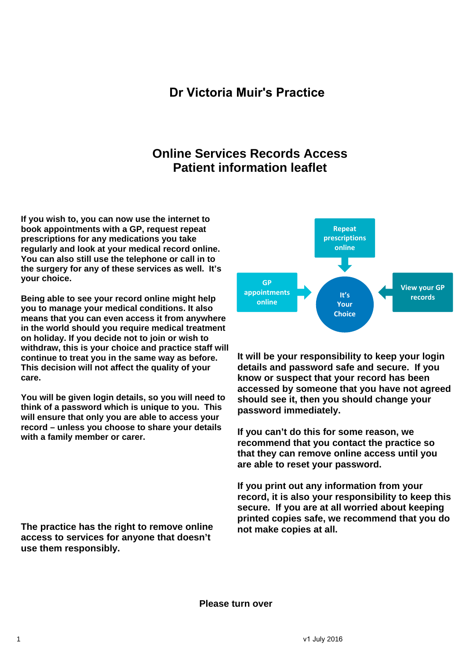## **Dr Victoria Muir's Practice**

## **Online Services Records Access Patient information leaflet**

**If you wish to, you can now use the internet to book appointments with a GP, request repeat prescriptions for any medications you take regularly and look at your medical record online. You can also still use the telephone or call in to the surgery for any of these services as well. It's your choice.** 

**Being able to see your record online might help you to manage your medical conditions. It also means that you can even access it from anywhere in the world should you require medical treatment on holiday. If you decide not to join or wish to withdraw, this is your choice and practice staff will continue to treat you in the same way as before. This decision will not affect the quality of your care.** 

**You will be given login details, so you will need to think of a password which is unique to you. This will ensure that only you are able to access your record – unless you choose to share your details with a family member or carer.** 

**The practice has the right to remove online access to services for anyone that doesn't use them responsibly.** 



**It will be your responsibility to keep your login details and password safe and secure. If you know or suspect that your record has been accessed by someone that you have not agreed should see it, then you should change your password immediately.** 

**If you can't do this for some reason, we recommend that you contact the practice so that they can remove online access until you are able to reset your password.** 

**If you print out any information from your record, it is also your responsibility to keep this secure. If you are at all worried about keeping printed copies safe, we recommend that you do not make copies at all.** 

**Please turn over**